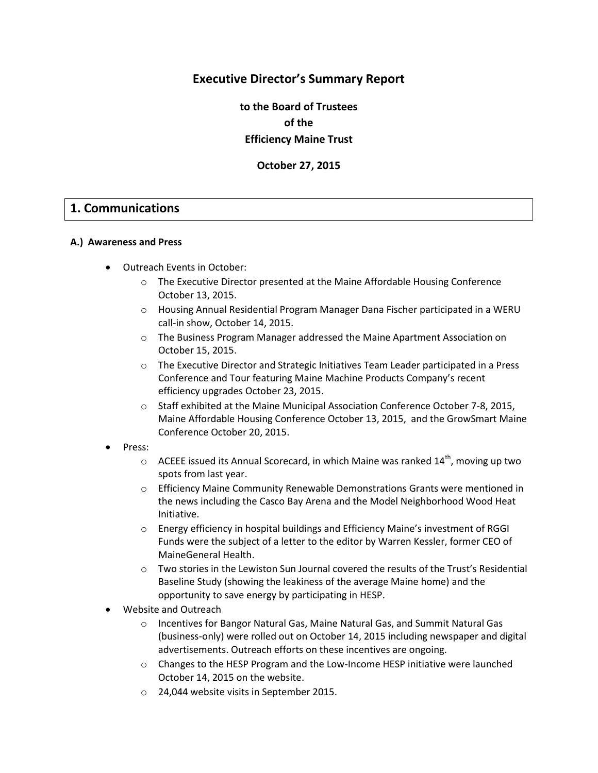# **Executive Director's Summary Report**

**to the Board of Trustees of the Efficiency Maine Trust**

**October 27, 2015**

# **1. Communications**

#### **A.) Awareness and Press**

- Outreach Events in October:
	- o The Executive Director presented at the Maine Affordable Housing Conference October 13, 2015.
	- o Housing Annual Residential Program Manager Dana Fischer participated in a WERU call-in show, October 14, 2015.
	- o The Business Program Manager addressed the Maine Apartment Association on October 15, 2015.
	- o The Executive Director and Strategic Initiatives Team Leader participated in a Press Conference and Tour featuring Maine Machine Products Company's recent efficiency upgrades October 23, 2015.
	- o Staff exhibited at the Maine Municipal Association Conference October 7-8, 2015, Maine Affordable Housing Conference October 13, 2015, and the GrowSmart Maine Conference October 20, 2015.
- Press:
	- $\circ$  ACEEE issued its Annual Scorecard, in which Maine was ranked 14<sup>th</sup>, moving up two spots from last year.
	- o Efficiency Maine Community Renewable Demonstrations Grants were mentioned in the news including the Casco Bay Arena and the Model Neighborhood Wood Heat Initiative.
	- o Energy efficiency in hospital buildings and Efficiency Maine's investment of RGGI Funds were the subject of a letter to the editor by Warren Kessler, former CEO of MaineGeneral Health.
	- o Two stories in the Lewiston Sun Journal covered the results of the Trust's Residential Baseline Study (showing the leakiness of the average Maine home) and the opportunity to save energy by participating in HESP.
- Website and Outreach
	- Incentives for Bangor Natural Gas, Maine Natural Gas, and Summit Natural Gas (business-only) were rolled out on October 14, 2015 including newspaper and digital advertisements. Outreach efforts on these incentives are ongoing.
	- o Changes to the HESP Program and the Low-Income HESP initiative were launched October 14, 2015 on the website.
	- o 24,044 website visits in September 2015.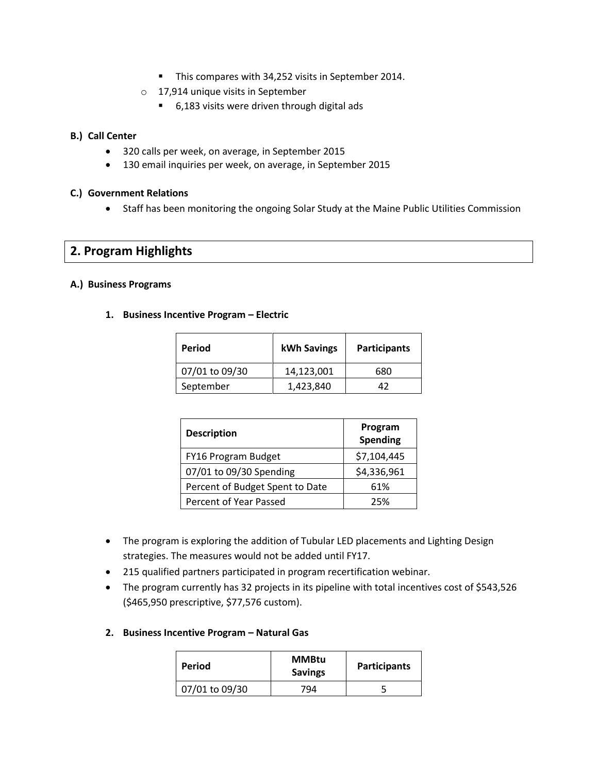- This compares with 34,252 visits in September 2014.
- o 17,914 unique visits in September
	- 6,183 visits were driven through digital ads

#### **B.) Call Center**

- 320 calls per week, on average, in September 2015
- 130 email inquiries per week, on average, in September 2015

#### **C.) Government Relations**

Staff has been monitoring the ongoing Solar Study at the Maine Public Utilities Commission

# **2. Program Highlights**

#### **A.) Business Programs**

**1. Business Incentive Program – Electric**

| Period         | <b>kWh Savings</b> | <b>Participants</b> |
|----------------|--------------------|---------------------|
| 07/01 to 09/30 | 14,123,001         | 680                 |
| September      | 1,423,840          | 47                  |

| <b>Description</b>              | Program<br><b>Spending</b> |
|---------------------------------|----------------------------|
| FY16 Program Budget             | \$7,104,445                |
| 07/01 to 09/30 Spending         | \$4,336,961                |
| Percent of Budget Spent to Date | 61%                        |
| Percent of Year Passed          | 25%                        |

- The program is exploring the addition of Tubular LED placements and Lighting Design strategies. The measures would not be added until FY17.
- 215 qualified partners participated in program recertification webinar.
- The program currently has 32 projects in its pipeline with total incentives cost of \$543,526 (\$465,950 prescriptive, \$77,576 custom).
- **2. Business Incentive Program – Natural Gas**

| Period         | <b>MMBtu</b><br><b>Savings</b> | <b>Participants</b> |  |
|----------------|--------------------------------|---------------------|--|
| 07/01 to 09/30 | 794                            |                     |  |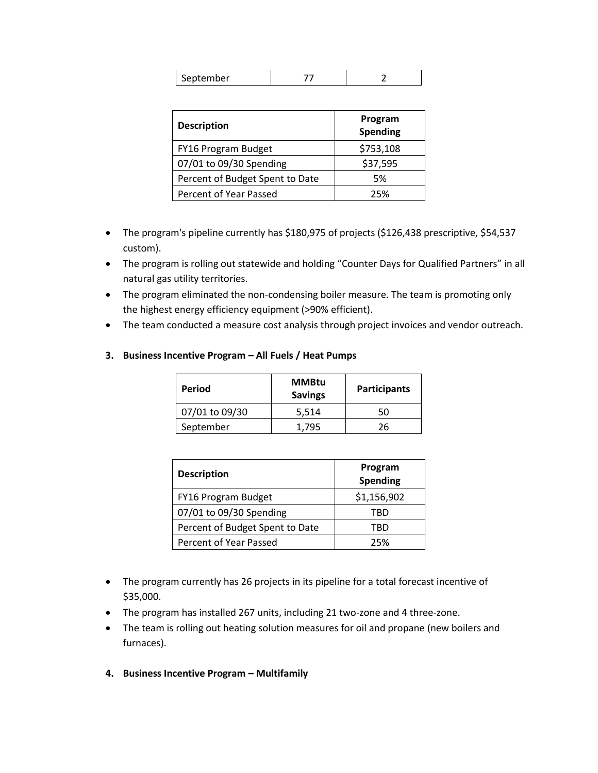| September |  |  |
|-----------|--|--|
|           |  |  |

| <b>Description</b>              | Program<br>Spending |
|---------------------------------|---------------------|
| FY16 Program Budget             | \$753,108           |
| 07/01 to 09/30 Spending         | \$37,595            |
| Percent of Budget Spent to Date | 5%                  |
| Percent of Year Passed          | 25%                 |

- The program's pipeline currently has \$180,975 of projects (\$126,438 prescriptive, \$54,537 custom).
- The program is rolling out statewide and holding "Counter Days for Qualified Partners" in all natural gas utility territories.
- The program eliminated the non-condensing boiler measure. The team is promoting only the highest energy efficiency equipment (>90% efficient).
- The team conducted a measure cost analysis through project invoices and vendor outreach.

| Period         | <b>MMBtu</b><br><b>Savings</b> | <b>Participants</b> |  |
|----------------|--------------------------------|---------------------|--|
| 07/01 to 09/30 | 5,514                          | 50                  |  |
| September      | 1.795                          | 26                  |  |

| 3. Business Incentive Program – All Fuels / Heat Pumps |  |  |  |  |  |
|--------------------------------------------------------|--|--|--|--|--|
|--------------------------------------------------------|--|--|--|--|--|

| <b>Description</b>              | Program<br>Spending |
|---------------------------------|---------------------|
| FY16 Program Budget             | \$1,156,902         |
| 07/01 to 09/30 Spending         | TRD                 |
| Percent of Budget Spent to Date | TRD                 |
| Percent of Year Passed          | 25%                 |

- The program currently has 26 projects in its pipeline for a total forecast incentive of \$35,000.
- The program has installed 267 units, including 21 two-zone and 4 three-zone.
- The team is rolling out heating solution measures for oil and propane (new boilers and furnaces).
- **4. Business Incentive Program – Multifamily**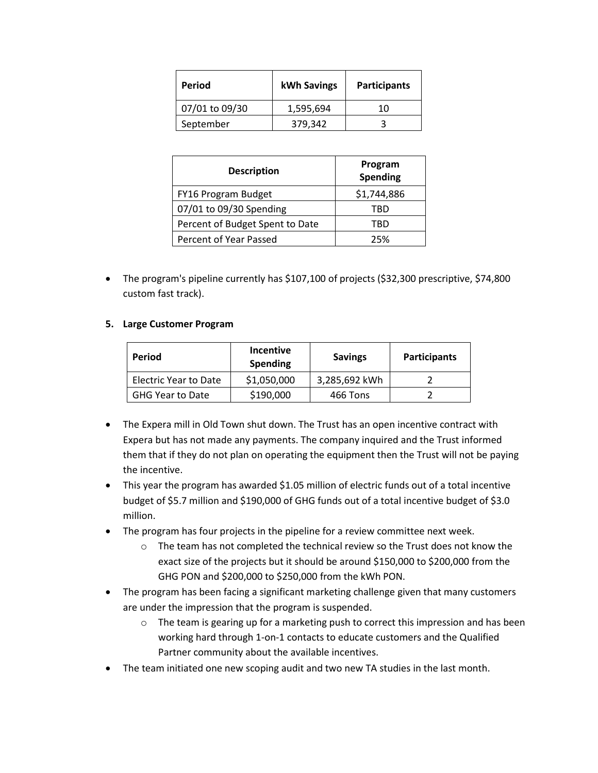| Period         | <b>kWh Savings</b> | <b>Participants</b> |
|----------------|--------------------|---------------------|
| 07/01 to 09/30 | 1,595,694          | 10                  |
| September      | 379,342            |                     |

| <b>Description</b>              | Program<br>Spending |
|---------------------------------|---------------------|
| FY16 Program Budget             | \$1,744,886         |
| 07/01 to 09/30 Spending         | TRD                 |
| Percent of Budget Spent to Date | TRD                 |
| Percent of Year Passed          | 25%                 |

 The program's pipeline currently has \$107,100 of projects (\$32,300 prescriptive, \$74,800 custom fast track).

#### **5. Large Customer Program**

| Period                  | <b>Incentive</b><br><b>Spending</b> | <b>Savings</b> | <b>Participants</b> |
|-------------------------|-------------------------------------|----------------|---------------------|
| Electric Year to Date   | \$1,050,000                         | 3,285,692 kWh  |                     |
| <b>GHG Year to Date</b> | \$190,000                           | 466 Tons       |                     |

- The Expera mill in Old Town shut down. The Trust has an open incentive contract with Expera but has not made any payments. The company inquired and the Trust informed them that if they do not plan on operating the equipment then the Trust will not be paying the incentive.
- This year the program has awarded \$1.05 million of electric funds out of a total incentive budget of \$5.7 million and \$190,000 of GHG funds out of a total incentive budget of \$3.0 million.
- The program has four projects in the pipeline for a review committee next week.
	- o The team has not completed the technical review so the Trust does not know the exact size of the projects but it should be around \$150,000 to \$200,000 from the GHG PON and \$200,000 to \$250,000 from the kWh PON.
- The program has been facing a significant marketing challenge given that many customers are under the impression that the program is suspended.
	- $\circ$  The team is gearing up for a marketing push to correct this impression and has been working hard through 1-on-1 contacts to educate customers and the Qualified Partner community about the available incentives.
- The team initiated one new scoping audit and two new TA studies in the last month.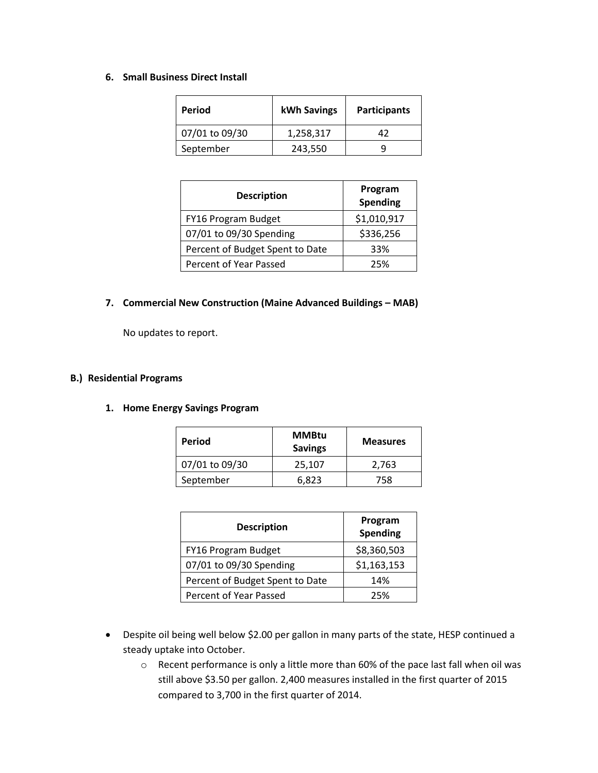#### **6. Small Business Direct Install**

| Period         | kWh Savings | <b>Participants</b> |
|----------------|-------------|---------------------|
| 07/01 to 09/30 | 1,258,317   | 47                  |
| September      | 243,550     |                     |

| <b>Description</b>              | Program<br><b>Spending</b> |
|---------------------------------|----------------------------|
| FY16 Program Budget             | \$1,010,917                |
| 07/01 to 09/30 Spending         | \$336,256                  |
| Percent of Budget Spent to Date | 33%                        |
| Percent of Year Passed          | 25%                        |

#### **7. Commercial New Construction (Maine Advanced Buildings – MAB)**

No updates to report.

#### **B.) Residential Programs**

#### **1. Home Energy Savings Program**

| Period         | <b>MMBtu</b><br><b>Savings</b> | <b>Measures</b> |
|----------------|--------------------------------|-----------------|
| 07/01 to 09/30 | 25,107                         | 2,763           |
| September      | 6.823                          | 758             |

| <b>Description</b>              | Program<br><b>Spending</b> |
|---------------------------------|----------------------------|
| FY16 Program Budget             | \$8,360,503                |
| 07/01 to 09/30 Spending         | \$1,163,153                |
| Percent of Budget Spent to Date | 14%                        |
| Percent of Year Passed          | 25%                        |

- Despite oil being well below \$2.00 per gallon in many parts of the state, HESP continued a steady uptake into October.
	- o Recent performance is only a little more than 60% of the pace last fall when oil was still above \$3.50 per gallon. 2,400 measures installed in the first quarter of 2015 compared to 3,700 in the first quarter of 2014.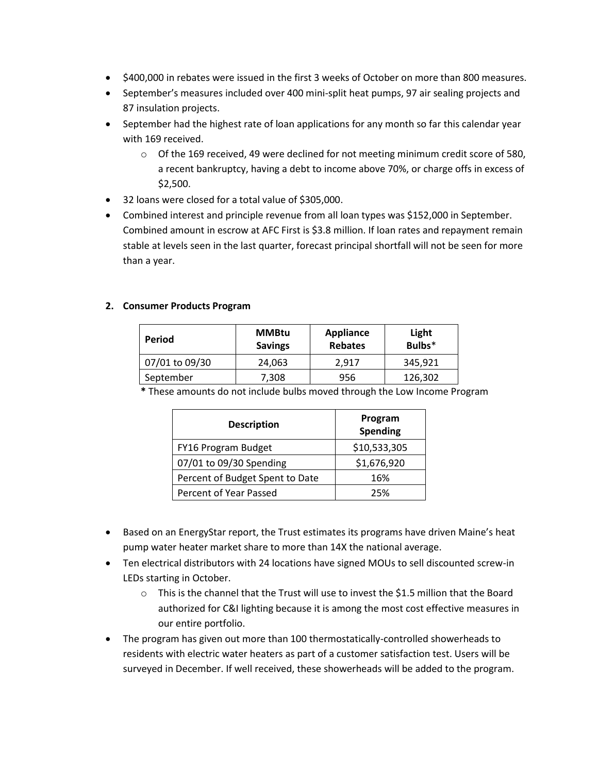- \$400,000 in rebates were issued in the first 3 weeks of October on more than 800 measures.
- September's measures included over 400 mini-split heat pumps, 97 air sealing projects and 87 insulation projects.
- September had the highest rate of loan applications for any month so far this calendar year with 169 received.
	- o Of the 169 received, 49 were declined for not meeting minimum credit score of 580, a recent bankruptcy, having a debt to income above 70%, or charge offs in excess of \$2,500.
- 32 loans were closed for a total value of \$305,000.
- Combined interest and principle revenue from all loan types was \$152,000 in September. Combined amount in escrow at AFC First is \$3.8 million. If loan rates and repayment remain stable at levels seen in the last quarter, forecast principal shortfall will not be seen for more than a year.

## **2. Consumer Products Program**

| Period         | <b>MMBtu</b><br><b>Savings</b> | <b>Appliance</b><br><b>Rebates</b> | Light<br>Bulbs <sup>*</sup> |
|----------------|--------------------------------|------------------------------------|-----------------------------|
| 07/01 to 09/30 | 24,063                         | 2,917                              | 345,921                     |
| September      | 7,308                          | 956                                | 126,302                     |
|                | .                              | .                                  | .                           |

**\*** These amounts do not include bulbs moved through the Low Income Program

| <b>Description</b>              | Program<br><b>Spending</b> |
|---------------------------------|----------------------------|
| FY16 Program Budget             | \$10,533,305               |
| 07/01 to 09/30 Spending         | \$1,676,920                |
| Percent of Budget Spent to Date | 16%                        |
| Percent of Year Passed          | 25%                        |

- Based on an EnergyStar report, the Trust estimates its programs have driven Maine's heat pump water heater market share to more than 14X the national average.
- Ten electrical distributors with 24 locations have signed MOUs to sell discounted screw-in LEDs starting in October.
	- $\circ$  This is the channel that the Trust will use to invest the \$1.5 million that the Board authorized for C&I lighting because it is among the most cost effective measures in our entire portfolio.
- The program has given out more than 100 thermostatically-controlled showerheads to residents with electric water heaters as part of a customer satisfaction test. Users will be surveyed in December. If well received, these showerheads will be added to the program.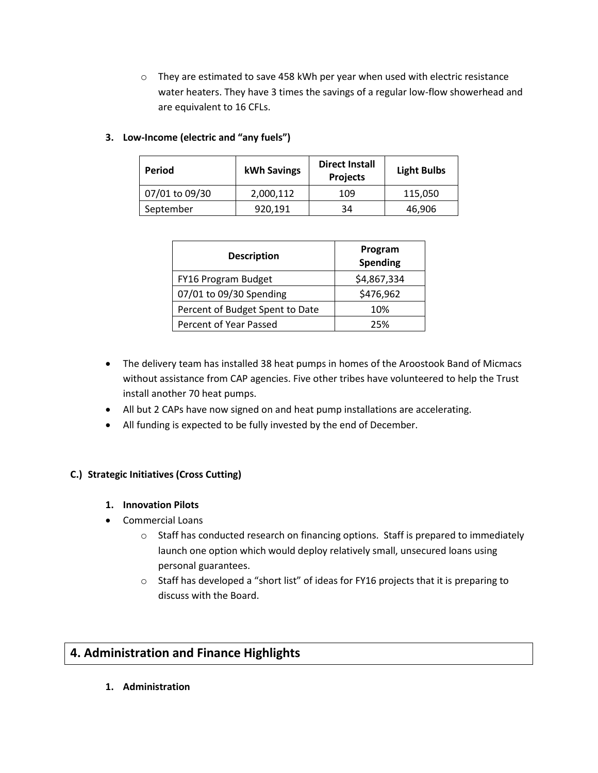$\circ$  They are estimated to save 458 kWh per year when used with electric resistance water heaters. They have 3 times the savings of a regular low-flow showerhead and are equivalent to 16 CFLs.

# **3. Low-Income (electric and "any fuels")**

| Period         | kWh Savings | <b>Direct Install</b><br><b>Projects</b> | <b>Light Bulbs</b> |
|----------------|-------------|------------------------------------------|--------------------|
| 07/01 to 09/30 | 2,000,112   | 109                                      | 115,050            |
| September      | 920,191     | 34                                       | 46,906             |

| <b>Description</b>              | Program<br><b>Spending</b> |
|---------------------------------|----------------------------|
| FY16 Program Budget             | \$4,867,334                |
| 07/01 to 09/30 Spending         | \$476,962                  |
| Percent of Budget Spent to Date | 10%                        |
| Percent of Year Passed          | 25%                        |

- The delivery team has installed 38 heat pumps in homes of the Aroostook Band of Micmacs without assistance from CAP agencies. Five other tribes have volunteered to help the Trust install another 70 heat pumps.
- All but 2 CAPs have now signed on and heat pump installations are accelerating.
- All funding is expected to be fully invested by the end of December.

## **C.) Strategic Initiatives (Cross Cutting)**

- **1. Innovation Pilots**
- Commercial Loans
	- $\circ$  Staff has conducted research on financing options. Staff is prepared to immediately launch one option which would deploy relatively small, unsecured loans using personal guarantees.
	- o Staff has developed a "short list" of ideas for FY16 projects that it is preparing to discuss with the Board.

# **4. Administration and Finance Highlights**

**1. Administration**